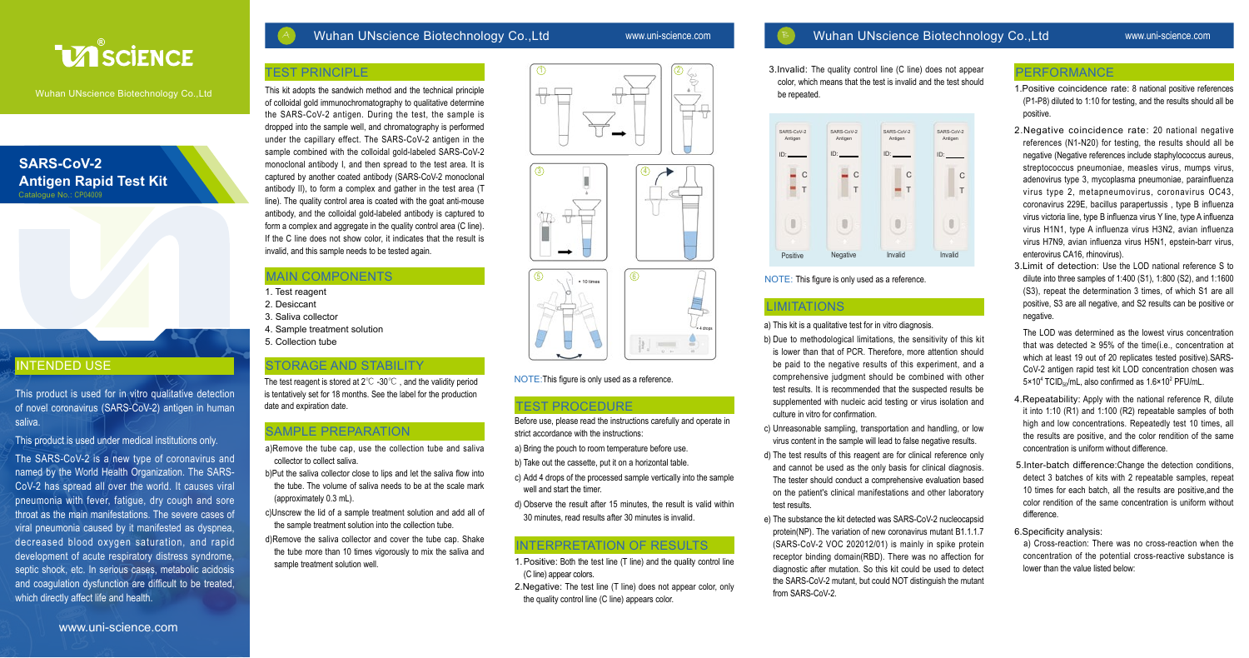

Wuhan UNscience Biotechnology Co.,Ltd

**SARS-CoV-2** 

Catalogue No.: CP04009

INTENDED USE

saliva.

**Antigen Rapid Test Kit** 

#### Wuhan UNscience Biotechnology Co.,Ltd www.uni-science.com

### Wuhan UNscience Biotechnology Co.,Ltd www.uni-science.com

3.Invalid: The quality control line (C line) does not appear color, which means that the test is invalid and the test should be repeated.



NOTE: This figure is only used as a reference.

## **LIMITATIONS**

a) This kit is a qualitative test for in vitro diagnosis.

- b) Due to methodological limitations, the sensitivity of this kit is lower than that of PCR. Therefore, more attention should be paid to the negative results of this experiment, and a comprehensive judgment should be combined with other test results. It is recommended that the suspected results be supplemented with nucleic acid testing or virus isolation and culture in vitro for confirmation.
- c) Unreasonable sampling, transportation and handling, or low virus content in the sample will lead to false negative results.
- d) The test results of this reagent are for clinical reference only and cannot be used as the only basis for clinical diagnosis. The tester should conduct a comprehensive evaluation based on the patient's clinical manifestations and other laboratory test results.
- e) The substance the kit detected was SARS-CoV-2 nucleocapsid protein(NP). The variation of new coronavirus mutant B1.1.1.7 (SARS-CoV-2 VOC 202012/01) is mainly in spike protein receptor binding domain(RBD). There was no affection for diagnostic after mutation. So this kit could be used to detect the SARS-CoV-2 mutant, but could NOT distinguish the mutant from SARS-CoV-2.

#### PERFORMANCE

1.Positive coincidence rate: 8 national positive references (P1-P8) diluted to 1:10 for testing, and the results should all be positive.

- 2. Negative coincidence rate: 20 national negative references (N1-N20) for testing, the results should all be negative (Negative references include staphylococcus aureus, streptococcus pneumoniae, measles virus, mumps virus, adenovirus type 3, mycoplasma pneumoniae, parainfluenza virus type 2, metapneumovirus, coronavirus OC43, coronavirus 229E, bacillus parapertussis , type B influenza virus victoria line, type B influenza virus Y line, type A influenza virus H1N1, type A influenza virus H3N2, avian influenza virus H7N9, avian influenza virus H5N1, epstein-barr virus, enterovirus CA16, rhinovirus).
- 3.Limit of detection: Use the LOD national reference S to dilute into three samples of 1:400 (S1), 1:800 (S2), and 1:1600 (S3), repeat the determination 3 times, of which S1 are all positive, S3 are all negative, and S2 results can be positive or negative.

 The LOD was determined as the lowest virus concentration that was detected ≥ 95% of the time(i.e., concentration at which at least 19 out of 20 replicates tested positive).SARS-CoV-2 antigen rapid test kit LOD concentration chosen was 5×10<sup>4</sup> TCID<sub>50</sub>/mL, also confirmed as 1.6×10<sup>2</sup> PFU/mL.

- 4.Repeatability: Apply with the national reference R, dilute it into 1:10 (R1) and 1:100 (R2) repeatable samples of both high and low concentrations. Repeatedly test 10 times, all the results are positive, and the color rendition of the same concentration is uniform without difference.
- 5.Inter-batch difference:Change the detection conditions, detect 3 batches of kits with 2 repeatable samples, repeat 10 times for each batch, all the results are positive,and the color rendition of the same concentration is uniform without difference.
- 6.Specificity analysis:

 a) Cross-reaction: There was no cross-reaction when the concentration of the potential cross-reactive substance is lower than the value listed below:

# TEST PRINCIPLE

This kit adopts the sandwich method and the technical principle of colloidal gold immunochromatography to qualitative determine the SARS-CoV-2 antigen. During the test, the sample is dropped into the sample well, and chromatography is performed under the capillary effect. The SARS-CoV-2 antigen in the sample combined with the colloidal gold-labeled SARS-CoV-2 monoclonal antibody I, and then spread to the test area. It is captured by another coated antibody (SARS-CoV-2 monoclonal antibody II), to form a complex and gather in the test area (T line). The quality control area is coated with the goat anti-mouse antibody, and the colloidal gold-labeled antibody is captured to form a complex and aggregate in the quality control area (C line). If the C line does not show color, it indicates that the result is invalid, and this sample needs to be tested again.

# MAIN COMPONENTS

- 1. Test reagent
- 2. Desiccant
- 3. Saliva collector
- 4. Sample treatment solution
- 5. Collection tube

#### STORAGE AND STABILITY

The test reagent is stored at 2℃ -30℃ , and the validity period is tentatively set for 18 months. See the label for the production date and expiration date.

# SAMPLE PREPARATION

- a)Remove the tube cap, use the collection tube and saliva collector to collect saliva.
- b)Put the saliva collector close to lips and let the saliva flow into the tube. The volume of saliva needs to be at the scale mark (approximately 0.3 mL).
- c)Unscrew the lid of a sample treatment solution and add all of the sample treatment solution into the collection tube.
- d)Remove the saliva collector and cover the tube cap. Shake the tube more than 10 times vigorously to mix the saliva and sample treatment solution well.



#### NOTE:This figure is only used as a reference.

# TEST PROCEDURE

 Before use, please read the instructions carefully and operate in strict accordance with the instructions:

a) Bring the pouch to room temperature before use.

b) Take out the cassette, put it on a horizontal table.

c) Add 4 drops of the processed sample vertically into the sample well and start the timer.

d) Observe the result after 15 minutes, the result is valid within 30 minutes, read results after 30 minutes is invalid.

#### INTERPRETATION OF RESULTS.

- 1.Positive: Both the test line (T line) and the quality control line (C line) appear colors.
- 2.Negative: The test line (T line) does not appear color, only the quality control line (C line) appears color.

which directly affect life and health.

This product is used for in vitro qualitative detection of novel coronavirus (SARS-CoV-2) antigen in human

This product is used under medical institutions only. The SARS-CoV-2 is a new type of coronavirus and named by the World Health Organization. The SARS-CoV-2 has spread all over the world. It causes viral pneumonia with fever, fatigue, dry cough and sore throat as the main manifestations. The severe cases of viral pneumonia caused by it manifested as dyspnea, decreased blood oxygen saturation, and rapid development of acute respiratory distress syndrome, septic shock, etc. In serious cases, metabolic acidosis and coagulation dysfunction are difficult to be treated,